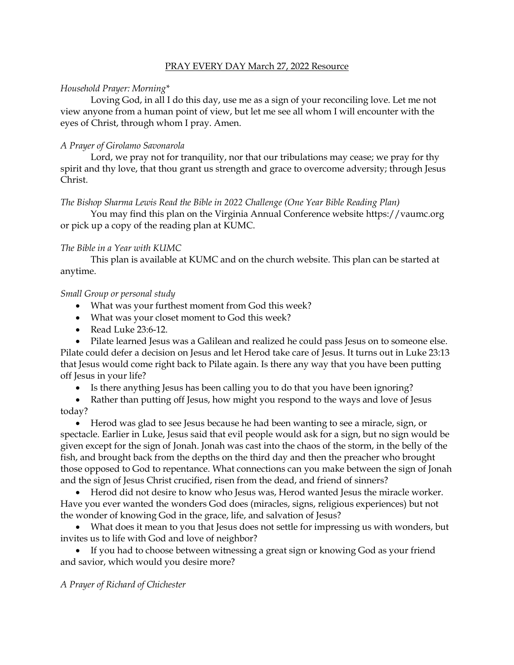# PRAY EVERY DAY March 27, 2022 Resource

# *Household Prayer: Morning\**

Loving God, in all I do this day, use me as a sign of your reconciling love. Let me not view anyone from a human point of view, but let me see all whom I will encounter with the eyes of Christ, through whom I pray. Amen.

# *A Prayer of Girolamo Savonarola*

Lord, we pray not for tranquility, nor that our tribulations may cease; we pray for thy spirit and thy love, that thou grant us strength and grace to overcome adversity; through Jesus Christ.

### *The Bishop Sharma Lewis Read the Bible in 2022 Challenge (One Year Bible Reading Plan)*

You may find this plan on the Virginia Annual Conference website [https://vaumc.org](https://vaumc.org/) or pick up a copy of the reading plan at KUMC.

### *The Bible in a Year with KUMC*

This plan is available at KUMC and on the church website. This plan can be started at anytime.

# *Small Group or personal study*

- What was your furthest moment from God this week?
- What was your closet moment to God this week?
- Read Luke 23:6-12.
- Pilate learned Jesus was a Galilean and realized he could pass Jesus on to someone else.

Pilate could defer a decision on Jesus and let Herod take care of Jesus. It turns out in Luke 23:13 that Jesus would come right back to Pilate again. Is there any way that you have been putting off Jesus in your life?

- Is there anything Jesus has been calling you to do that you have been ignoring?
- Rather than putting off Jesus, how might you respond to the ways and love of Jesus today?

• Herod was glad to see Jesus because he had been wanting to see a miracle, sign, or spectacle. Earlier in Luke, Jesus said that evil people would ask for a sign, but no sign would be given except for the sign of Jonah. Jonah was cast into the chaos of the storm, in the belly of the fish, and brought back from the depths on the third day and then the preacher who brought those opposed to God to repentance. What connections can you make between the sign of Jonah and the sign of Jesus Christ crucified, risen from the dead, and friend of sinners?

• Herod did not desire to know who Jesus was, Herod wanted Jesus the miracle worker. Have you ever wanted the wonders God does (miracles, signs, religious experiences) but not the wonder of knowing God in the grace, life, and salvation of Jesus?

• What does it mean to you that Jesus does not settle for impressing us with wonders, but invites us to life with God and love of neighbor?

• If you had to choose between witnessing a great sign or knowing God as your friend and savior, which would you desire more?

### *A Prayer of Richard of Chichester*